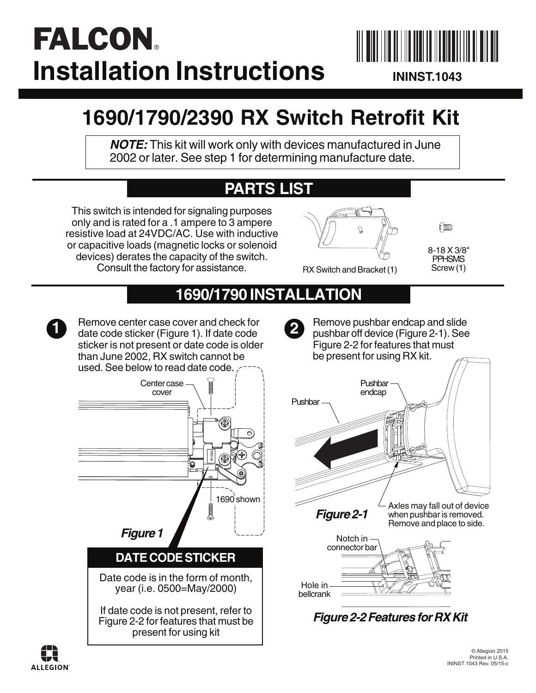# **FALCON Installation Instructions**



**ININST.1043**

# **1690/1790/2390 RX Switch Retrofit Kit**

**NOTE:** This kit will work only with devices manufactured in June 2002 or later. See step 1 for determining manufacture date.

## **PARTS LIST**

This switch is intended for signaling purposes only and is rated for a .1 ampere to 3 ampere resistive load at 24VDC/AC. Use with inductive or capacitive loads (magnetic locks or solenoid devices) derates the capacity of the switch. Consult the factory for assistance.



(DDD)

8-18 X 3/8" PPHSMS Screw (1)

RX Switch and Bracket (1)

## **1690/1790 INSTALLATION**

Remove center case cover and check for **1** Hemove center case cover and check for<br>date code sticker (Figure 1). If date code sticker is not present or date code is older than June 2002, RX switch cannot be used. See below to read date code.



Remove pushbar endcap and slide pushbar off device (Figure 2-1). See Figure 2-2 for features that must be present for using RX kit.





**Figure 2-2 Features for RX Kit** 

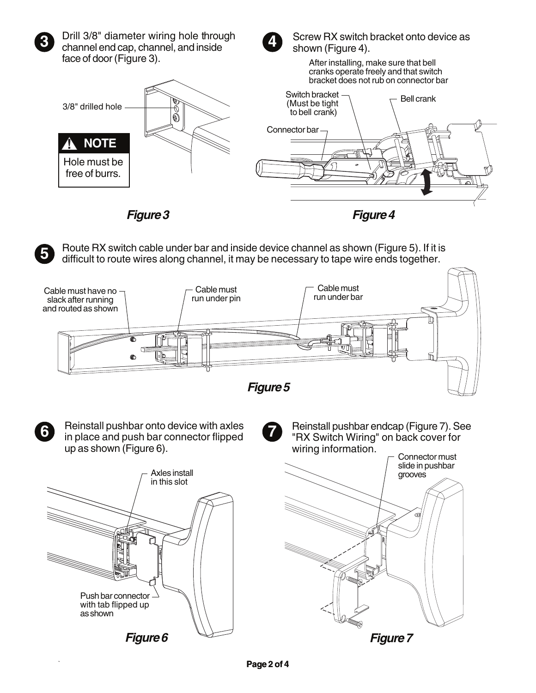

Drill 3/8" diameter wiring hole through channel end cap, channel, and inside face of door (Figure 3).



Screw RX switch bracket onto device as shown (Figure 4).

After installing, make sure that bell cranks operate freely and that switch bracket does not rub on connector bar



**Figure3**

**Figure4**



Route RX switch cable under bar and inside device channel as shown (Figure 5). If it is difficult to route wires along channel, it may be necessary to tape wire ends together.





Reinstall pushbar onto device with axles in place and push bar connector flipped up as shown (Figure 6).



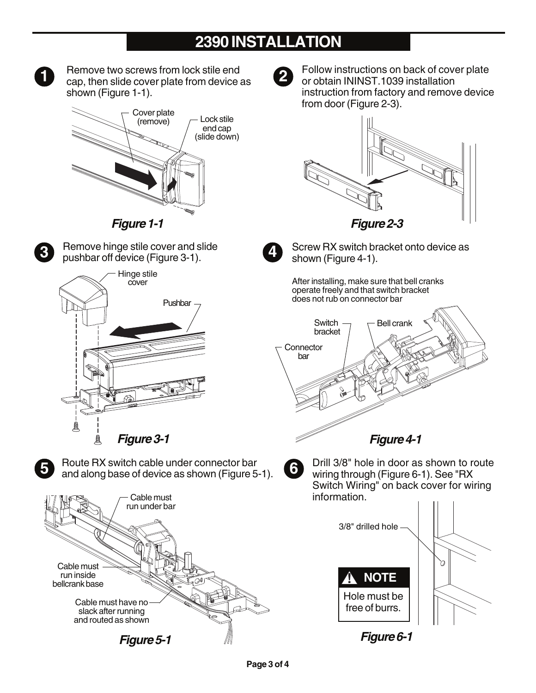#### **2390 INSTALLATION**



**Figure** 5-1 **1 1 1 1 5-1 1 1 5-1 1 5-1 5-1 5-1 5-1 5-1 5-1 5-1 5-1 5-1 5-1 5-1 5-1 5-1 5-1 5-1 5-1 5-1 5-1 5-1 5-1 5-1 5-1 5-1 5-1 5-1 5-1 5-1 5-1** Cable must run inside bellcrank base Cable must run under bar Cable must have no slack after running and routed as shown

Remove two screws from lock stile end

3/8" drilled hole b **! NOTE** Hole must be free of burrs.

Follow instructions on back of cover plate

information.